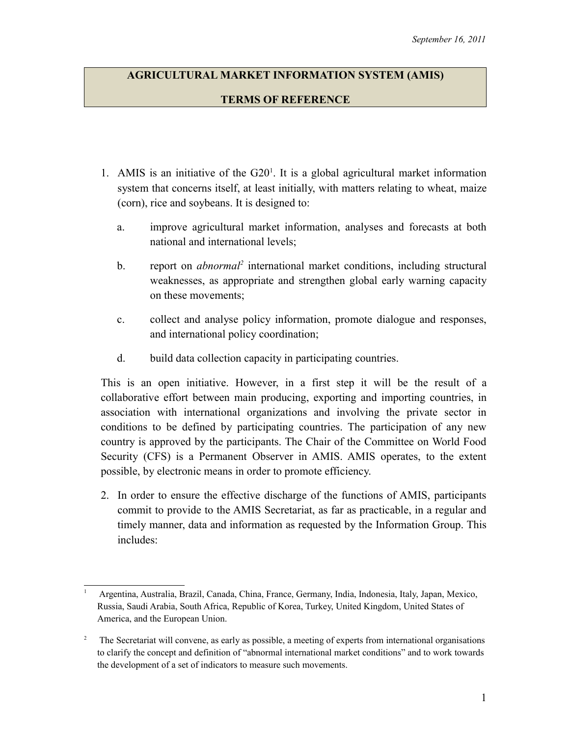## **AGRICULTURAL MARKET INFORMATION SYSTEM (AMIS) TERMS OF REFERENCE**

- [1](#page-0-0). AMIS is an initiative of the  $G20<sup>1</sup>$ . It is a global agricultural market information system that concerns itself, at least initially, with matters relating to wheat, maize (corn), rice and soybeans. It is designed to:
	- a. improve agricultural market information, analyses and forecasts at both national and international levels;
	- b. report on *abnormal*<sup>[2](#page-0-1)</sup> international market conditions, including structural weaknesses, as appropriate and strengthen global early warning capacity on these movements;
	- c. collect and analyse policy information, promote dialogue and responses, and international policy coordination;
	- d. build data collection capacity in participating countries.

This is an open initiative. However, in a first step it will be the result of a collaborative effort between main producing, exporting and importing countries, in association with international organizations and involving the private sector in conditions to be defined by participating countries. The participation of any new country is approved by the participants. The Chair of the Committee on World Food Security (CFS) is a Permanent Observer in AMIS. AMIS operates, to the extent possible, by electronic means in order to promote efficiency.

2. In order to ensure the effective discharge of the functions of AMIS, participants commit to provide to the AMIS Secretariat, as far as practicable, in a regular and timely manner, data and information as requested by the Information Group. This includes:

<span id="page-0-0"></span><sup>1</sup> Argentina, Australia, Brazil, Canada, China, France, Germany, India, Indonesia, Italy, Japan, Mexico, Russia, Saudi Arabia, South Africa, Republic of Korea, Turkey, United Kingdom, United States of America, and the European Union.

<span id="page-0-1"></span><sup>2</sup> The Secretariat will convene, as early as possible, a meeting of experts from international organisations to clarify the concept and definition of "abnormal international market conditions" and to work towards the development of a set of indicators to measure such movements.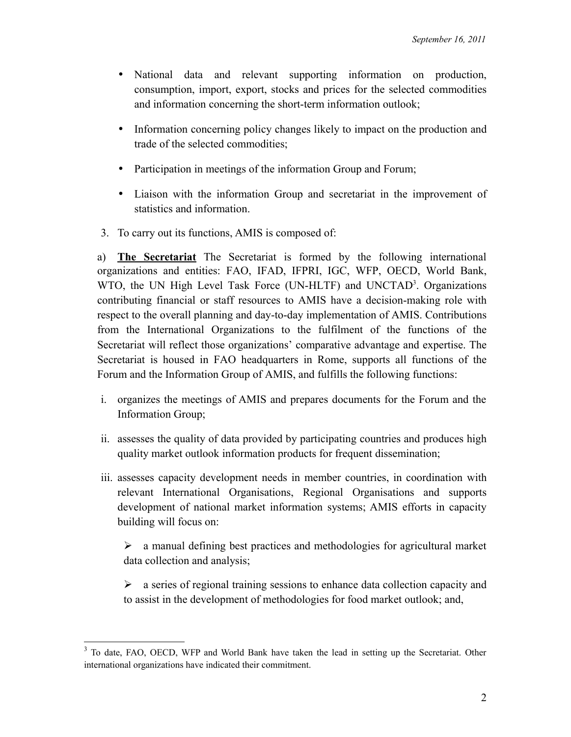- National data and relevant supporting information on production, consumption, import, export, stocks and prices for the selected commodities and information concerning the short-term information outlook;
- Information concerning policy changes likely to impact on the production and trade of the selected commodities;
- Participation in meetings of the information Group and Forum;
- Liaison with the information Group and secretariat in the improvement of statistics and information.
- 3. To carry out its functions, AMIS is composed of:

a) **The Secretariat** The Secretariat is formed by the following international organizations and entities: FAO, IFAD, IFPRI, IGC, WFP, OECD, World Bank, WTO, the UN High Level Task Force (UN-HLTF) a[nd](#page-1-0) UNCTAD<sup>3</sup>. Organizations contributing financial or staff resources to AMIS have a decision-making role with respect to the overall planning and day-to-day implementation of AMIS. Contributions from the International Organizations to the fulfilment of the functions of the Secretariat will reflect those organizations' comparative advantage and expertise. The Secretariat is housed in FAO headquarters in Rome, supports all functions of the Forum and the Information Group of AMIS, and fulfills the following functions:

- i. organizes the meetings of AMIS and prepares documents for the Forum and the Information Group;
- ii. assesses the quality of data provided by participating countries and produces high quality market outlook information products for frequent dissemination;
- iii. assesses capacity development needs in member countries, in coordination with relevant International Organisations, Regional Organisations and supports development of national market information systems; AMIS efforts in capacity building will focus on:

 $\triangleright$  a manual defining best practices and methodologies for agricultural market data collection and analysis;

 $\triangleright$  a series of regional training sessions to enhance data collection capacity and to assist in the development of methodologies for food market outlook; and,

<span id="page-1-0"></span><sup>&</sup>lt;sup>3</sup> To date, FAO, OECD, WFP and World Bank have taken the lead in setting up the Secretariat. Other international organizations have indicated their commitment.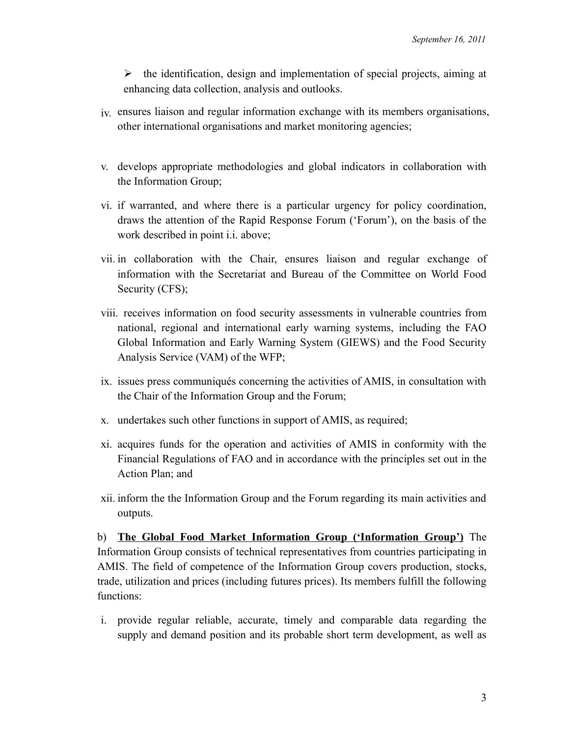$\triangleright$  the identification, design and implementation of special projects, aiming at enhancing data collection, analysis and outlooks.

- iv. ensures liaison and regular information exchange with its members organisations, other international organisations and market monitoring agencies;
- v. develops appropriate methodologies and global indicators in collaboration with the Information Group;
- vi. if warranted, and where there is a particular urgency for policy coordination, draws the attention of the Rapid Response Forum ('Forum'), on the basis of the work described in point i.i. above;
- vii. in collaboration with the Chair, ensures liaison and regular exchange of information with the Secretariat and Bureau of the Committee on World Food Security (CFS);
- viii. receives information on food security assessments in vulnerable countries from national, regional and international early warning systems, including the FAO Global Information and Early Warning System (GIEWS) and the Food Security Analysis Service (VAM) of the WFP;
- ix. issues press communiqués concerning the activities of AMIS, in consultation with the Chair of the Information Group and the Forum;
- x. undertakes such other functions in support of AMIS, as required;
- xi. acquires funds for the operation and activities of AMIS in conformity with the Financial Regulations of FAO and in accordance with the principles set out in the Action Plan; and
- xii. inform the the Information Group and the Forum regarding its main activities and outputs.

b) **The Global Food Market Information Group ('Information Group')** The Information Group consists of technical representatives from countries participating in AMIS. The field of competence of the Information Group covers production, stocks, trade, utilization and prices (including futures prices). Its members fulfill the following functions:

i. provide regular reliable, accurate, timely and comparable data regarding the supply and demand position and its probable short term development, as well as